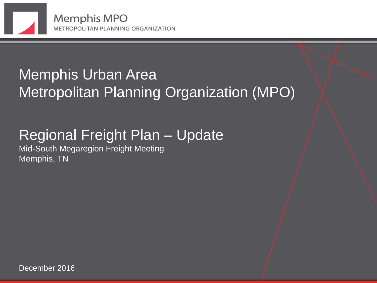

#### Memphis Urban Area Metropolitan Planning Organization (MPO)

#### Regional Freight Plan – Update

Mid-South Megaregion Freight Meeting Memphis, TN

December 2016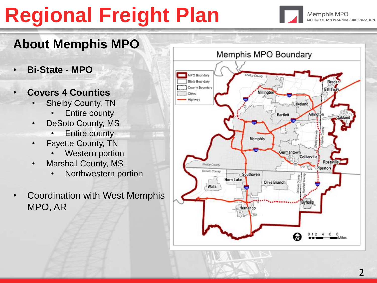

#### **About Memphis MPO**

- **Bi-State - MPO**
- **Covers 4 Counties**
	- Shelby County, TN
		- **Entire county**
	- DeSoto County, MS
		- **Entire county**
	- Fayette County, TN
		- **Western portion**
	- Marshall County, MS
		- Northwestern portion
- Coordination with West Memphis MPO, AR

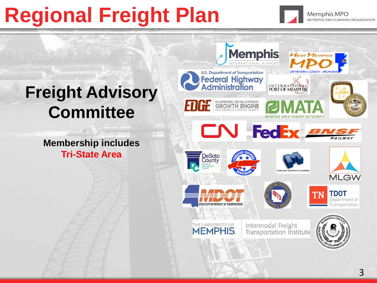

#### **Freight Advisory Committee**

**Membership includes Tri-State Area**

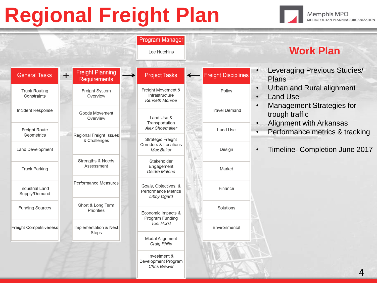

|                                         |       |                                                                                       | Lee Hutchins                                                                                                                |                            | <b>Work Plan</b>                                                                                                                                                            |
|-----------------------------------------|-------|---------------------------------------------------------------------------------------|-----------------------------------------------------------------------------------------------------------------------------|----------------------------|-----------------------------------------------------------------------------------------------------------------------------------------------------------------------------|
| <b>General Tasks</b>                    | $\pm$ | <b>Freight Planning</b><br><b>Requirements</b>                                        | <b>Project Tasks</b>                                                                                                        | <b>Freight Disciplines</b> | Leveraging Previous Studies/<br>$\bullet$<br>Plans                                                                                                                          |
| <b>Truck Routing</b><br>Constraints     |       | Freight System<br>Overview                                                            | Freight Movement &<br>Infrastructure<br><b>Kenneth Monroe</b>                                                               | Policy                     | Urban and Rural alignment<br>$\bullet$<br><b>Land Use</b><br>$\bullet$                                                                                                      |
| Incident Response                       |       | Goods Movement<br>Overview                                                            | Land Use &<br>Transportation<br>Alex Shoemaker<br><b>Strategic Freight</b><br><b>Corridors &amp; Locations</b><br>Max Baker | <b>Travel Demand</b>       | <b>Management Strategies for</b><br>$\bullet$<br>trough traffic<br>Alignment with Arkansas<br>Performance metrics & tracking<br>Timeline- Completion June 2017<br>$\bullet$ |
| <b>Freight Route</b><br>Geometrics      |       | Regional Freight Issues<br>& Challenges<br><b>Strengths &amp; Needs</b><br>Assessment |                                                                                                                             | Land Use                   |                                                                                                                                                                             |
| Land Development                        |       |                                                                                       |                                                                                                                             | Design                     |                                                                                                                                                                             |
| <b>Truck Parking</b>                    |       |                                                                                       | Stakeholder<br>Engagement<br>Deidre Malone                                                                                  | Market                     |                                                                                                                                                                             |
| <b>Industrial Land</b><br>Supply/Demand |       | <b>Performance Measures</b>                                                           | Goals, Objectives, &<br><b>Performance Metrics</b><br><b>Libby Ogard</b>                                                    | Finance                    |                                                                                                                                                                             |
| <b>Funding Sources</b>                  |       | Short & Long Term<br>Priorities                                                       | Economic Impacts &<br>Program Funding                                                                                       | Solutions                  |                                                                                                                                                                             |
| Freight Competitiveness                 |       | Implementation & Next<br><b>Steps</b>                                                 | <b>Toni Horst</b>                                                                                                           | Environmental              |                                                                                                                                                                             |
|                                         |       |                                                                                       | Modal Alignment<br>Craig Philip                                                                                             |                            |                                                                                                                                                                             |
|                                         |       |                                                                                       | Investment &<br>Development Program<br><b>Chris Brewer</b>                                                                  |                            |                                                                                                                                                                             |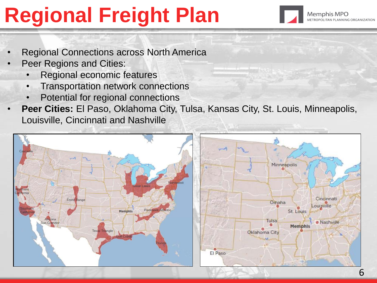

- Regional Connections across North America
- Peer Regions and Cities:
	- Regional economic features
	- Transportation network connections
	- Potential for regional connections
- **Peer Cities:** El Paso, Oklahoma City, Tulsa, Kansas City, St. Louis, Minneapolis, Louisville, Cincinnati and Nashville

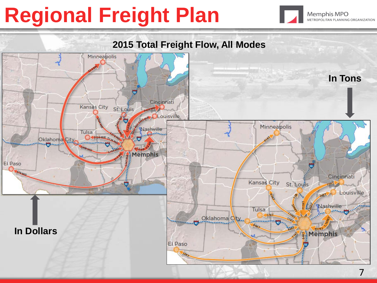